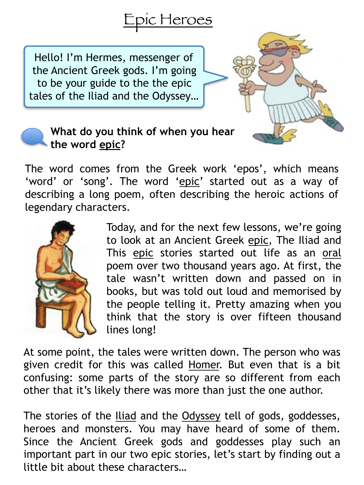

Hello! I'm Hermes, messenger of the Ancient Greek gods. I'm going to be your guide to the the epic tales of the Iliad and the Odyssey…



## **What do you think of when you hear the word epic?**

The word comes from the Greek work 'epos', which means 'word' or 'song'. The word 'epic' started out as a way of describing a long poem, often describing the heroic actions of legendary characters.



Today, and for the next few lessons, we're going to look at an Ancient Greek epic, The Iliad and This epic stories started out life as an oral poem over two thousand years ago. At first, the tale wasn't written down and passed on in books, but was told out loud and memorised by the people telling it. Pretty amazing when you think that the story is over fifteen thousand lines long!

At some point, the tales were written down. The person who was given credit for this was called Homer. But even that is a bit confusing: some parts of the story are so different from each other that it's likely there was more than just the one author.

The stories of the Iliad and the Odyssey tell of gods, goddesses, heroes and monsters. You may have heard of some of them. Since the Ancient Greek gods and goddesses play such an important part in our two epic stories, let's start by finding out a little bit about these characters…